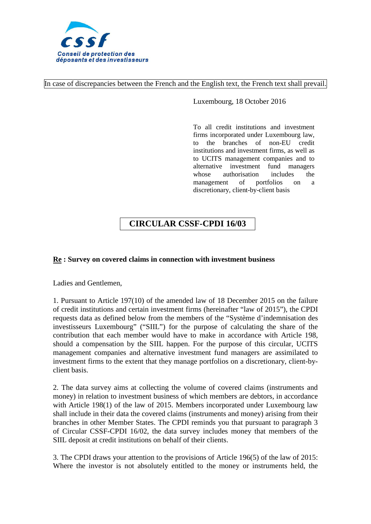

In case of discrepancies between the French and the English text, the French text shall prevail.

Luxembourg, 18 October 2016

To all credit institutions and investment firms incorporated under Luxembourg law, to the branches of non-EU credit institutions and investment firms, as well as to UCITS management companies and to alternative investment fund managers whose authorisation includes the<br>management of portfolios on a management of portfolios on a discretionary, client-by-client basis

# **CIRCULAR CSSF-CPDI 16/03**

## **Re : Survey on covered claims in connection with investment business**

Ladies and Gentlemen,

1. Pursuant to Article 197(10) of the amended law of 18 December 2015 on the failure of credit institutions and certain investment firms (hereinafter "law of 2015"), the CPDI requests data as defined below from the members of the "Système d'indemnisation des investisseurs Luxembourg" ("SIIL") for the purpose of calculating the share of the contribution that each member would have to make in accordance with Article 198, should a compensation by the SIIL happen. For the purpose of this circular, UCITS management companies and alternative investment fund managers are assimilated to investment firms to the extent that they manage portfolios on a discretionary, client-byclient basis.

2. The data survey aims at collecting the volume of covered claims (instruments and money) in relation to investment business of which members are debtors, in accordance with Article 198(1) of the law of 2015. Members incorporated under Luxembourg law shall include in their data the covered claims (instruments and money) arising from their branches in other Member States. The CPDI reminds you that pursuant to paragraph 3 of Circular CSSF-CPDI 16/02, the data survey includes money that members of the SIIL deposit at credit institutions on behalf of their clients.

3. The CPDI draws your attention to the provisions of Article 196(5) of the law of 2015: Where the investor is not absolutely entitled to the money or instruments held, the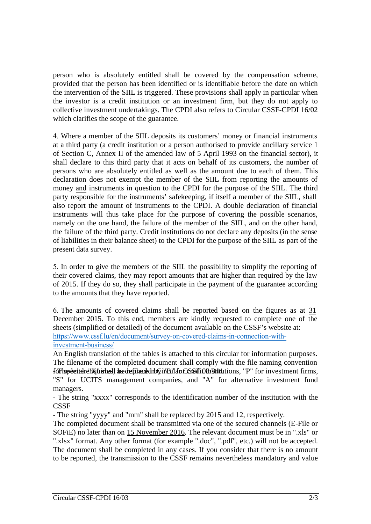person who is absolutely entitled shall be covered by the compensation scheme, provided that the person has been identified or is identifiable before the date on which the intervention of the SIIL is triggered. These provisions shall apply in particular when the investor is a credit institution or an investment firm, but they do not apply to collective investment undertakings. The CPDI also refers to Circular CSSF-CPDI 16/02 which clarifies the scope of the guarantee.

4. Where a member of the SIIL deposits its customers' money or financial instruments at a third party (a credit institution or a person authorised to provide ancillary service 1 of Section C, Annex II of the amended law of 5 April 1993 on the financial sector), it shall declare to this third party that it acts on behalf of its customers, the number of persons who are absolutely entitled as well as the amount due to each of them. This declaration does not exempt the member of the SIIL from reporting the amounts of money and instruments in question to the CPDI for the purpose of the SIIL. The third party responsible for the instruments' safekeeping, if itself a member of the SIIL, shall also report the amount of instruments to the CPDI. A double declaration of financial instruments will thus take place for the purpose of covering the possible scenarios, namely on the one hand, the failure of the member of the SIIL, and on the other hand, the failure of the third party. Credit institutions do not declare any deposits (in the sense of liabilities in their balance sheet) to the CPDI for the purpose of the SIIL as part of the present data survey.

5. In order to give the members of the SIIL the possibility to simplify the reporting of their covered claims, they may report amounts that are higher than required by the law of 2015. If they do so, they shall participate in the payment of the guarantee according to the amounts that they have reported.

6. The amounts of covered claims shall be reported based on the figures as at 31 December 2015. To this end, members are kindly requested to complete one of the sheets (simplified or detailed) of the document available on the CSSF's website at: [https://www.cssf.lu/en/document/survey-on-covered-claims-in-connectio](https://www.cssf.lu/en/Document/survey-on-covered-claims-in-connection-with-investment-business/)n-withinvestment-business/

An English translation of the tables is attached to this circular for information purposes. The filename of the completed document shall comply with the file naming convention for hyperted relix in the sheart all be the film of the shall and CSSF 08/344. The shall be replaced in the firms, "S" for UCITS management companies, and "A" for alternative investment fund managers.

- The string "xxxx" corresponds to the identification number of the institution with the **CSSF** 

- The string "yyyy" and "mm" shall be replaced by 2015 and 12, respectively.

The completed document shall be transmitted via one of the secured channels (E-File or SOFiE) no later than on 15 November 2016. The relevant document must be in ".xls" or ".xlsx" format. Any other format (for example ".doc", ".pdf", etc.) will not be accepted. The document shall be completed in any cases. If you consider that there is no amount to be reported, the transmission to the CSSF remains nevertheless mandatory and value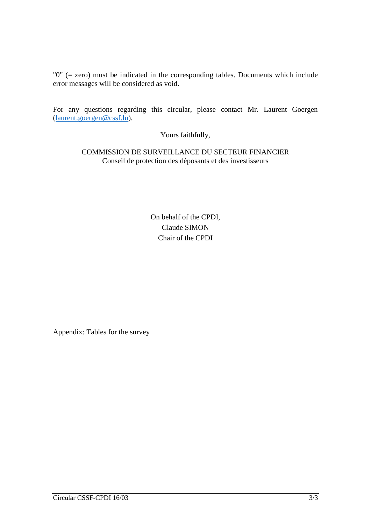"0" (= zero) must be indicated in the corresponding tables. Documents which include error messages will be considered as void.

For any questions regarding this circular, please contact Mr. Laurent Goergen [\(laurent.goergen@cssf.lu\)](mailto:laurent.goergen@cssf.lu).

Yours faithfully,

COMMISSION DE SURVEILLANCE DU SECTEUR FINANCIER Conseil de protection des déposants et des investisseurs

> On behalf of the CPDI, Claude SIMON Chair of the CPDI

Appendix: Tables for the survey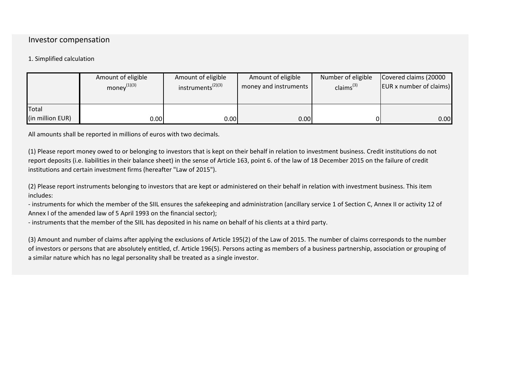## Investor compensation

### 1. Simplified calculation

|                                  | Amount of eligible | Amount of eligible     | Amount of eligible    | Number of eligible | Covered claims (20000           |
|----------------------------------|--------------------|------------------------|-----------------------|--------------------|---------------------------------|
|                                  | money $^{(1)(3)}$  | $instruments^{(2)(3)}$ | money and instruments | claims $^{(3)}$    | <b>EUR x number of claims</b> ) |
| <b>Total</b><br>(in million EUR) | 0.00               | 0.00                   | 0.00                  |                    | 0.00                            |

All amounts shall be reported in millions of euros with two decimals.

(1) Please report money owed to or belonging to investors that is kept on their behalf in relation to investment business. Credit institutions do not report deposits (i.e. liabilities in their balance sheet) in the sense of Article 163, point 6. of the law of 18 December 2015 on the failure of credit institutions and certain investment firms (hereafter "Law of 2015").

(2) Please report instruments belonging to investors that are kept or administered on their behalf in relation with investment business. This item includes:

- instruments for which the member of the SIIL ensures the safekeeping and administration (ancillary service 1 of Section C, Annex II or activity 12 of Annex I of the amended law of 5 April 1993 on the financial sector);

- instruments that the member of the SIIL has deposited in his name on behalf of his clients at a third party.

(3) Amount and number of claims after applying the exclusions of Article 195(2) of the Law of 2015. The number of claims corresponds to the number of investors or persons that are absolutely entitled, cf. Article 196(5). Persons acting as members of a business partnership, association or grouping of a similar nature which has no legal personality shall be treated as a single investor.